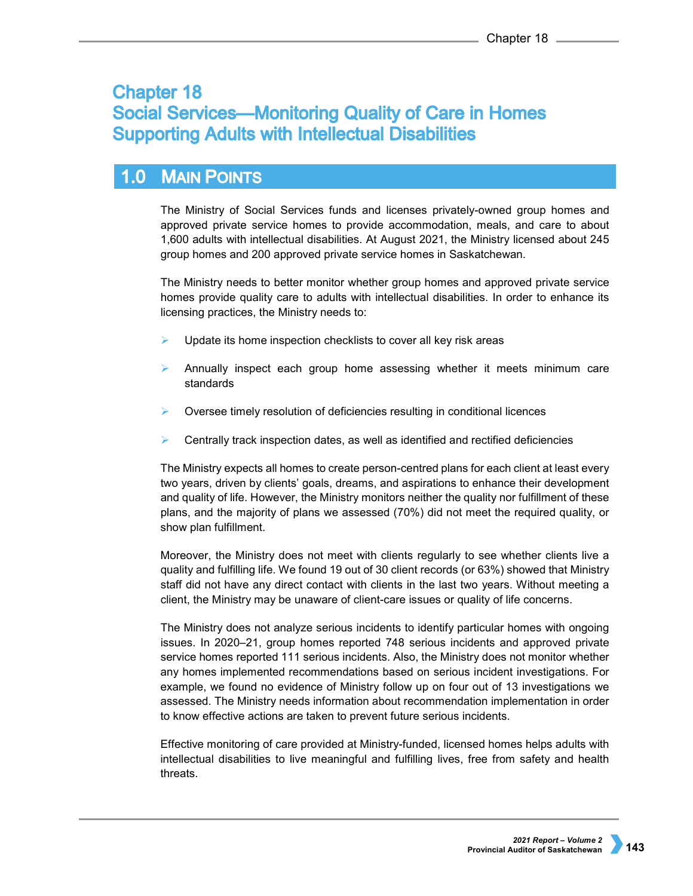# **Chapter 18 Social Services-Monitoring Quality of Care in Homes Supporting Adults with Intellectual Disabilities**

### $1.0$ **MAIN POINTS**

The Ministry of Social Services funds and licenses privately-owned group homes and approved private service homes to provide accommodation, meals, and care to about 1,600 adults with intellectual disabilities. At August 2021, the Ministry licensed about 245 group homes and 200 approved private service homes in Saskatchewan.

The Ministry needs to better monitor whether group homes and approved private service homes provide quality care to adults with intellectual disabilities. In order to enhance its licensing practices, the Ministry needs to:

- Update its home inspection checklists to cover all key risk areas
- Annually inspect each group home assessing whether it meets minimum care standards
- Oversee timely resolution of deficiencies resulting in conditional licences
- Centrally track inspection dates, as well as identified and rectified deficiencies

The Ministry expects all homes to create person-centred plans for each client at least every two years, driven by clients' goals, dreams, and aspirations to enhance their development and quality of life. However, the Ministry monitors neither the quality nor fulfillment of these plans, and the majority of plans we assessed (70%) did not meet the required quality, or show plan fulfillment.

Moreover, the Ministry does not meet with clients regularly to see whether clients live a quality and fulfilling life. We found 19 out of 30 client records (or 63%) showed that Ministry staff did not have any direct contact with clients in the last two years. Without meeting a client, the Ministry may be unaware of client-care issues or quality of life concerns.

The Ministry does not analyze serious incidents to identify particular homes with ongoing issues. In 2020–21, group homes reported 748 serious incidents and approved private service homes reported 111 serious incidents. Also, the Ministry does not monitor whether any homes implemented recommendations based on serious incident investigations. For example, we found no evidence of Ministry follow up on four out of 13 investigations we assessed. The Ministry needs information about recommendation implementation in order to know effective actions are taken to prevent future serious incidents.

Effective monitoring of care provided at Ministry-funded, licensed homes helps adults with intellectual disabilities to live meaningful and fulfilling lives, free from safety and health threats.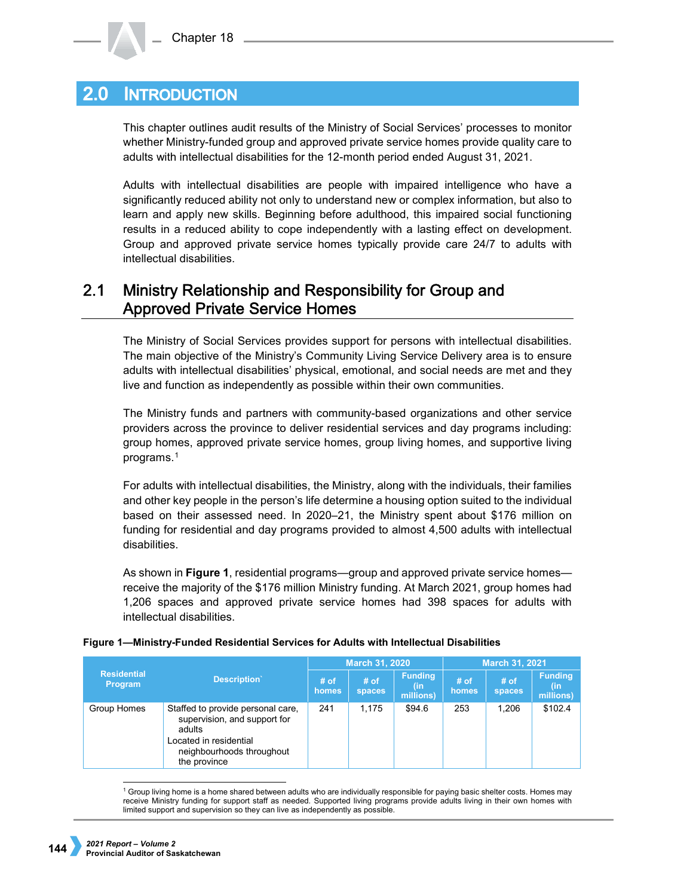#### **INTRODUCTION**  $2.0 -$

This chapter outlines audit results of the Ministry of Social Services' processes to monitor whether Ministry-funded group and approved private service homes provide quality care to adults with intellectual disabilities for the 12-month period ended August 31, 2021.

Adults with intellectual disabilities are people with impaired intelligence who have a significantly reduced ability not only to understand new or complex information, but also to learn and apply new skills. Beginning before adulthood, this impaired social functioning results in a reduced ability to cope independently with a lasting effect on development. Group and approved private service homes typically provide care 24/7 to adults with intellectual disabilities.

## $2.1$ Ministry Relationship and Responsibility for Group and **Approved Private Service Homes**

The Ministry of Social Services provides support for persons with intellectual disabilities. The main objective of the Ministry's Community Living Service Delivery area is to ensure adults with intellectual disabilities' physical, emotional, and social needs are met and they live and function as independently as possible within their own communities.

The Ministry funds and partners with community-based organizations and other service providers across the province to deliver residential services and day programs including: group homes, approved private service homes, group living homes, and supportive living programs.[1](#page-1-0)

For adults with intellectual disabilities, the Ministry, along with the individuals, their families and other key people in the person's life determine a housing option suited to the individual based on their assessed need. In 2020–21, the Ministry spent about \$176 million on funding for residential and day programs provided to almost 4,500 adults with intellectual disabilities.

As shown in **Figure 1**, residential programs—group and approved private service homes receive the majority of the \$176 million Ministry funding. At March 2021, group homes had 1,206 spaces and approved private service homes had 398 spaces for adults with intellectual disabilities.

|                               |                                                                                                                                                    |               | March 31, 2020   |                             | March 31, 2021  |                         |                                    |
|-------------------------------|----------------------------------------------------------------------------------------------------------------------------------------------------|---------------|------------------|-----------------------------|-----------------|-------------------------|------------------------------------|
| <b>Residential</b><br>Program | Description`                                                                                                                                       | # of<br>homes | $#$ of<br>spaces | Funding<br>(in<br>millions) | $#$ of<br>homes | $#$ of<br><b>spaces</b> | <b>Funding</b><br>(in<br>millions) |
| Group Homes                   | Staffed to provide personal care,<br>supervision, and support for<br>adults<br>Located in residential<br>neighbourhoods throughout<br>the province | 241           | 1.175            | \$94.6                      | 253             | 1,206                   | \$102.4                            |

<span id="page-1-0"></span><sup>1</sup> Group living home is a home shared between adults who are individually responsible for paying basic shelter costs. Homes may receive Ministry funding for support staff as needed. Supported living programs provide adults living in their own homes with limited support and supervision so they can live as independently as possible.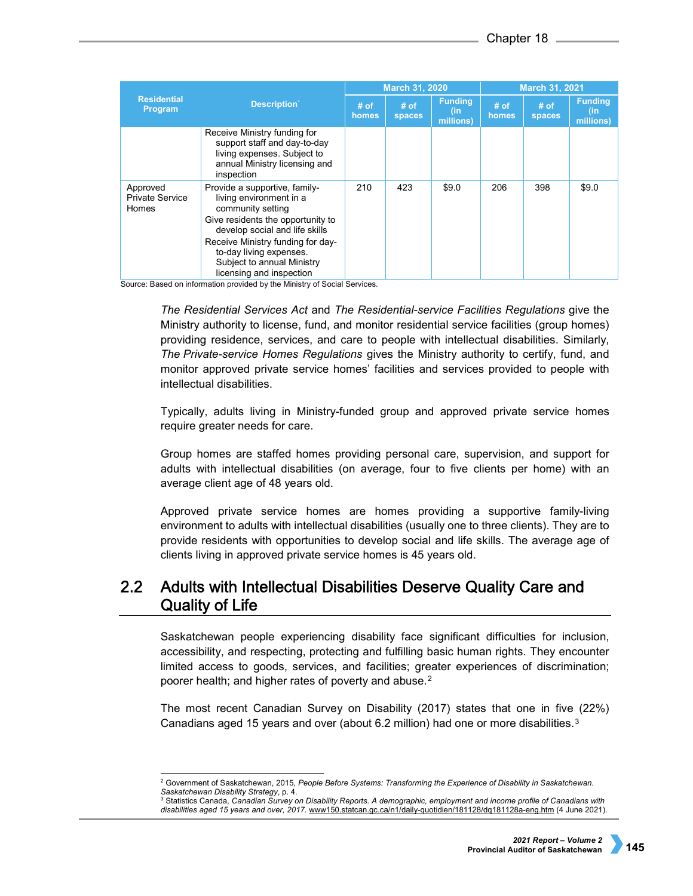|                                             |                                                                                                                                                                                                                                                                                | March 31, 2020  |                         |                                    | March 31, 2021  |                         |                                    |
|---------------------------------------------|--------------------------------------------------------------------------------------------------------------------------------------------------------------------------------------------------------------------------------------------------------------------------------|-----------------|-------------------------|------------------------------------|-----------------|-------------------------|------------------------------------|
| <b>Residential</b><br>Program               | Description                                                                                                                                                                                                                                                                    | $#$ of<br>homes | $#$ of<br><b>spaces</b> | <b>Funding</b><br>(in<br>millions) | $#$ of<br>homes | $#$ of<br><b>spaces</b> | <b>Funding</b><br>(in<br>millions) |
|                                             | Receive Ministry funding for<br>support staff and day-to-day<br>living expenses. Subject to<br>annual Ministry licensing and<br>inspection                                                                                                                                     |                 |                         |                                    |                 |                         |                                    |
| Approved<br><b>Private Service</b><br>Homes | Provide a supportive, family-<br>living environment in a<br>community setting<br>Give residents the opportunity to<br>develop social and life skills<br>Receive Ministry funding for day-<br>to-day living expenses.<br>Subject to annual Ministry<br>licensing and inspection | 210             | 423                     | \$9.0                              | 206             | 398                     | \$9.0                              |

Source: Based on information provided by the Ministry of Social Services.

*The Residential Services Act* and *The Residential-service Facilities Regulations* give the Ministry authority to license, fund, and monitor residential service facilities (group homes) providing residence, services, and care to people with intellectual disabilities. Similarly, *The Private-service Homes Regulations* gives the Ministry authority to certify, fund, and monitor approved private service homes' facilities and services provided to people with intellectual disabilities.

Typically, adults living in Ministry-funded group and approved private service homes require greater needs for care.

Group homes are staffed homes providing personal care, supervision, and support for adults with intellectual disabilities (on average, four to five clients per home) with an average client age of 48 years old.

Approved private service homes are homes providing a supportive family-living environment to adults with intellectual disabilities (usually one to three clients). They are to provide residents with opportunities to develop social and life skills. The average age of clients living in approved private service homes is 45 years old.

## $2.2<sub>2</sub>$ Adults with Intellectual Disabilities Deserve Quality Care and **Quality of Life**

Saskatchewan people experiencing disability face significant difficulties for inclusion, accessibility, and respecting, protecting and fulfilling basic human rights. They encounter limited access to goods, services, and facilities; greater experiences of discrimination; poorer health; and higher rates of poverty and abuse.<sup>[2](#page-2-0)</sup>

The most recent Canadian Survey on Disability (2017) states that one in five (22%) Canadians aged 15 years and over (about 6.2 million) had one or more disabilities.<sup>[3](#page-2-1)</sup>

<span id="page-2-0"></span> <sup>2</sup> Government of Saskatchewan, 2015, *People Before Systems: Transforming the Experience of Disability in Saskatchewan. Saskatchewan Disability Strategy*, p. 4.

<span id="page-2-1"></span><sup>3</sup> Statistics Canada, *Canadian Survey on Disability Reports. A demographic, employment and income profile of Canadians with disabilities aged 15 years and over, 2017*. [www150.statcan.gc.ca/n1/daily-quotidien/181128/dq181128a-eng.htm](https://www150.statcan.gc.ca/n1/daily-quotidien/181128/dq181128a-eng.htm) (4 June 2021).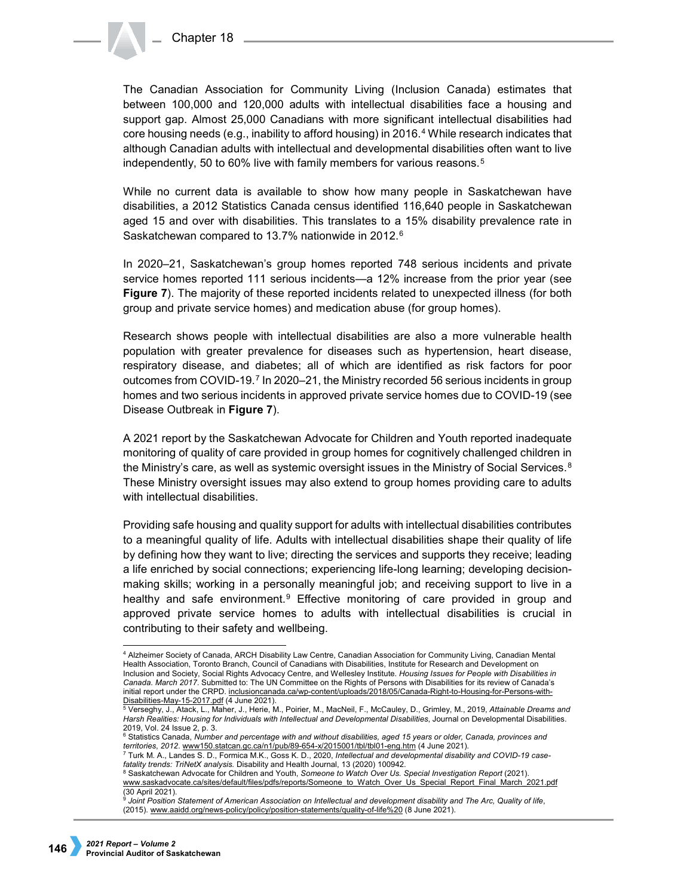The Canadian Association for Community Living (Inclusion Canada) estimates that between 100,000 and 120,000 adults with intellectual disabilities face a housing and support gap. Almost 25,000 Canadians with more significant intellectual disabilities had core housing needs (e.g., inability to afford housing) in 2016.[4](#page-3-0) While research indicates that although Canadian adults with intellectual and developmental disabilities often want to live independently, [5](#page-3-1)0 to 60% live with family members for various reasons.<sup>5</sup>

While no current data is available to show how many people in Saskatchewan have disabilities, a 2012 Statistics Canada census identified 116,640 people in Saskatchewan aged 15 and over with disabilities. This translates to a 15% disability prevalence rate in Saskatchewan compared to 13.7% nationwide in 2012.[6](#page-3-2)

In 2020–21, Saskatchewan's group homes reported 748 serious incidents and private service homes reported 111 serious incidents—a 12% increase from the prior year (see **Figure 7**). The majority of these reported incidents related to unexpected illness (for both group and private service homes) and medication abuse (for group homes).

Research shows people with intellectual disabilities are also a more vulnerable health population with greater prevalence for diseases such as hypertension, heart disease, respiratory disease, and diabetes; all of which are identified as risk factors for poor outcomes from COVID-19.[7](#page-3-3) In 2020–21, the Ministry recorded 56 serious incidents in group homes and two serious incidents in approved private service homes due to COVID-19 (see Disease Outbreak in **Figure 7**).

A 2021 report by the Saskatchewan Advocate for Children and Youth reported inadequate monitoring of quality of care provided in group homes for cognitively challenged children in the Ministry's care, as well as systemic oversight issues in the Ministry of Social Services.<sup>[8](#page-3-4)</sup> These Ministry oversight issues may also extend to group homes providing care to adults with intellectual disabilities.

Providing safe housing and quality support for adults with intellectual disabilities contributes to a meaningful quality of life. Adults with intellectual disabilities shape their quality of life by defining how they want to live; directing the services and supports they receive; leading a life enriched by social connections; experiencing life-long learning; developing decisionmaking skills; working in a personally meaningful job; and receiving support to live in a healthy and safe environment.<sup>[9](#page-3-5)</sup> Effective monitoring of care provided in group and approved private service homes to adults with intellectual disabilities is crucial in contributing to their safety and wellbeing.

<span id="page-3-0"></span> <sup>4</sup> Alzheimer Society of Canada, ARCH Disability Law Centre, Canadian Association for Community Living, Canadian Mental Health Association, Toronto Branch, Council of Canadians with Disabilities, Institute for Research and Development on Inclusion and Society, Social Rights Advocacy Centre, and Wellesley Institute. *Housing Issues for People with Disabilities in Canada. March 2017*. Submitted to: The UN Committee on the Rights of Persons with Disabilities for its review of Canada's initial report under the CRPD. [inclusioncanada.ca/wp-content/uploads/2018/05/Canada-Right-to-Housing-for-Persons-with-](https://inclusioncanada.ca/wp-content/uploads/2018/05/Canada-Right-to-Housing-for-Persons-with-Disabilities-May-15-2017.pdf)

<span id="page-3-1"></span><sup>&</sup>lt;u>[Disabilities-May-15-2017.pdf](https://inclusioncanada.ca/wp-content/uploads/2018/05/Canada-Right-to-Housing-for-Persons-with-Disabilities-May-15-2017.pdf)</u> (4 June 2021).<br><sup>5</sup> Verseghy, J., Atack, L., Maher, J., Herie, M., Poirier, M., MacNeil, F., McCauley, D., Grimley, M., 2019, *Attainable Dreams and Harsh Realities: Housing for Individuals with Intellectual and Developmental Disabilities*, Journal on Developmental Disabilities. 2019, Vol. 24 Issue 2, p. 3.

<sup>6</sup> Statistics Canada, *Number and percentage with and without disabilities, aged 15 years or older, Canada, provinces and territories*, *2012*. [www150.statcan.gc.ca/n1/pub/89-654-x/2015001/tbl/tbl01-eng.htm](https://www150.statcan.gc.ca/n1/pub/89-654-x/2015001/tbl/tbl01-eng.htm) (4 June 2021).

<span id="page-3-4"></span><span id="page-3-3"></span><span id="page-3-2"></span><sup>&</sup>lt;sup>7</sup> Turk M. A., Landes S. D., Formica M.K., Goss K. D., 2020, *Intellectual and developmental disability and COVID-19 case-*<br>*fatality trends: TriNetX analysis.* Disability and Health Journal, 13 (2020) 100942.

*fatality trends: TriNetX analysis.* Disability and Health Journal, 13 (2020) 100942. 8 Saskatchewan Advocate for Children and Youth, *Someone to Watch Over Us. Special Investigation Report* (2021). [www.saskadvocate.ca/sites/default/files/pdfs/reports/Someone\\_to\\_Watch\\_Over\\_Us\\_Special\\_Report\\_Final\\_March\\_2021.pdf](http://www.saskadvocate.ca/sites/default/files/pdfs/reports/Someone_to_Watch_Over_Us_Special_Report_Final_March_2021.pdf) (30 April 2021).

<span id="page-3-5"></span><sup>9</sup> *Joint Position Statement of American Association on Intellectual and development disability and The Arc, Quality of life*, (2015). [www.aaidd.org/news-policy/policy/position-statements/quality-of-life%20](http://www.aaidd.org/news-policy/policy/position-statements/quality-of-life) (8 June 2021).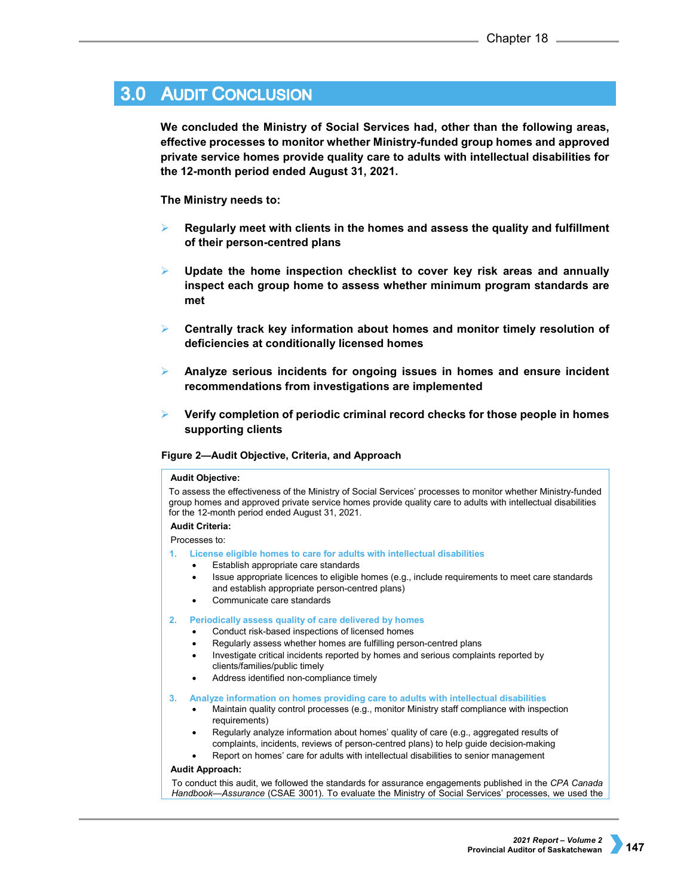# **3.0 AUDIT CONCLUSION**

**We concluded the Ministry of Social Services had, other than the following areas, effective processes to monitor whether Ministry-funded group homes and approved private service homes provide quality care to adults with intellectual disabilities for the 12-month period ended August 31, 2021.** 

# **The Ministry needs to:**

- **Regularly meet with clients in the homes and assess the quality and fulfillment of their person-centred plans**
- **Update the home inspection checklist to cover key risk areas and annually inspect each group home to assess whether minimum program standards are met**
- **Centrally track key information about homes and monitor timely resolution of deficiencies at conditionally licensed homes**
- **Analyze serious incidents for ongoing issues in homes and ensure incident recommendations from investigations are implemented**
- **Verify completion of periodic criminal record checks for those people in homes supporting clients**

## **Figure 2—Audit Objective, Criteria, and Approach**

### **Audit Objective:**

To assess the effectiveness of the Ministry of Social Services' processes to monitor whether Ministry-funded group homes and approved private service homes provide quality care to adults with intellectual disabilities for the 12-month period ended August 31, 2021.

## **Audit Criteria:**

Processes to:

- **1. License eligible homes to care for adults with intellectual disabilities**
	- Establish appropriate care standards
	- Issue appropriate licences to eligible homes (e.g., include requirements to meet care standards and establish appropriate person-centred plans)
	- Communicate care standards

### **2. Periodically assess quality of care delivered by homes**

- Conduct risk-based inspections of licensed homes
- Regularly assess whether homes are fulfilling person-centred plans
- Investigate critical incidents reported by homes and serious complaints reported by clients/families/public timely
- Address identified non-compliance timely

### **3. Analyze information on homes providing care to adults with intellectual disabilities**

- Maintain quality control processes (e.g., monitor Ministry staff compliance with inspection requirements)
- Regularly analyze information about homes' quality of care (e.g., aggregated results of complaints, incidents, reviews of person-centred plans) to help guide decision-making
- Report on homes' care for adults with intellectual disabilities to senior management

# **Audit Approach:**

To conduct this audit, we followed the standards for assurance engagements published in the *CPA Canada Handbook—Assurance* (CSAE 3001). To evaluate the Ministry of Social Services' processes, we used the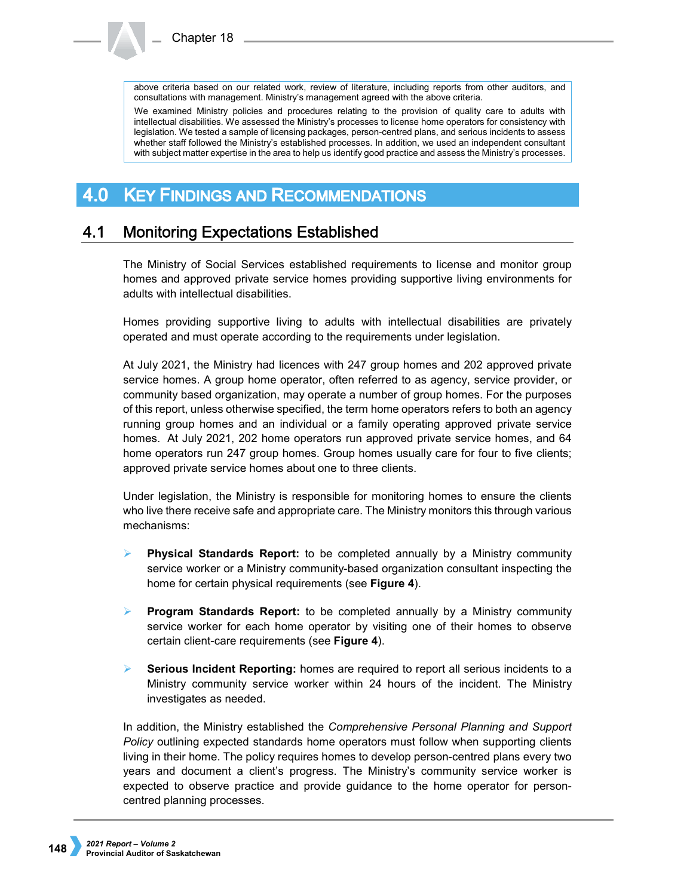above criteria based on our related work, review of literature, including reports from other auditors, and consultations with management. Ministry's management agreed with the above criteria.

We examined Ministry policies and procedures relating to the provision of quality care to adults with intellectual disabilities. We assessed the Ministry's processes to license home operators for consistency with legislation. We tested a sample of licensing packages, person-centred plans, and serious incidents to assess whether staff followed the Ministry's established processes. In addition, we used an independent consultant with subject matter expertise in the area to help us identify good practice and assess the Ministry's processes.

### **KEY FINDINGS AND RECOMMENDATIONS** 4.0

#### $4.1$ **Monitoring Expectations Established**

The Ministry of Social Services established requirements to license and monitor group homes and approved private service homes providing supportive living environments for adults with intellectual disabilities.

Homes providing supportive living to adults with intellectual disabilities are privately operated and must operate according to the requirements under legislation.

At July 2021, the Ministry had licences with 247 group homes and 202 approved private service homes. A group home operator, often referred to as agency, service provider, or community based organization, may operate a number of group homes. For the purposes of this report, unless otherwise specified, the term home operators refers to both an agency running group homes and an individual or a family operating approved private service homes. At July 2021, 202 home operators run approved private service homes, and 64 home operators run 247 group homes. Group homes usually care for four to five clients; approved private service homes about one to three clients.

Under legislation, the Ministry is responsible for monitoring homes to ensure the clients who live there receive safe and appropriate care. The Ministry monitors this through various mechanisms:

- **Physical Standards Report:** to be completed annually by a Ministry community service worker or a Ministry community-based organization consultant inspecting the home for certain physical requirements (see **Figure 4**).
- **Program Standards Report:** to be completed annually by a Ministry community service worker for each home operator by visiting one of their homes to observe certain client-care requirements (see **Figure 4**).
- **Serious Incident Reporting:** homes are required to report all serious incidents to a Ministry community service worker within 24 hours of the incident. The Ministry investigates as needed.

In addition, the Ministry established the *Comprehensive Personal Planning and Support Policy* outlining expected standards home operators must follow when supporting clients living in their home. The policy requires homes to develop person-centred plans every two years and document a client's progress. The Ministry's community service worker is expected to observe practice and provide guidance to the home operator for personcentred planning processes.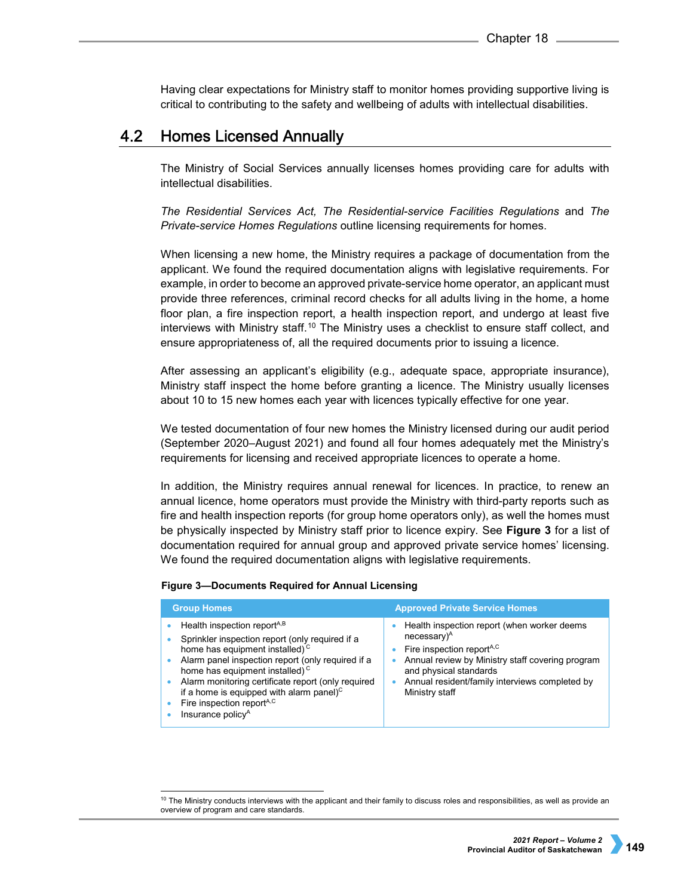Having clear expectations for Ministry staff to monitor homes providing supportive living is critical to contributing to the safety and wellbeing of adults with intellectual disabilities.

#### 4.2 **Homes Licensed Annually**

The Ministry of Social Services annually licenses homes providing care for adults with intellectual disabilities.

*The Residential Services Act, The Residential-service Facilities Regulations* and *The Private-service Homes Regulations* outline licensing requirements for homes.

When licensing a new home, the Ministry requires a package of documentation from the applicant. We found the required documentation aligns with legislative requirements. For example, in order to become an approved private-service home operator, an applicant must provide three references, criminal record checks for all adults living in the home, a home floor plan, a fire inspection report, a health inspection report, and undergo at least five interviews with Ministry staff.[10](#page-6-0) The Ministry uses a checklist to ensure staff collect, and ensure appropriateness of, all the required documents prior to issuing a licence.

After assessing an applicant's eligibility (e.g., adequate space, appropriate insurance), Ministry staff inspect the home before granting a licence. The Ministry usually licenses about 10 to 15 new homes each year with licences typically effective for one year.

We tested documentation of four new homes the Ministry licensed during our audit period (September 2020–August 2021) and found all four homes adequately met the Ministry's requirements for licensing and received appropriate licences to operate a home.

In addition, the Ministry requires annual renewal for licences. In practice, to renew an annual licence, home operators must provide the Ministry with third-party reports such as fire and health inspection reports (for group home operators only), as well the homes must be physically inspected by Ministry staff prior to licence expiry. See **Figure 3** for a list of documentation required for annual group and approved private service homes' licensing. We found the required documentation aligns with legislative requirements.

# **Figure 3—Documents Required for Annual Licensing**

| <b>Group Homes</b>                                                                                                                                                                                                                                                                                                                                                                                                                | <b>Approved Private Service Homes</b>                                                                                                                                                                                                                                           |  |  |  |
|-----------------------------------------------------------------------------------------------------------------------------------------------------------------------------------------------------------------------------------------------------------------------------------------------------------------------------------------------------------------------------------------------------------------------------------|---------------------------------------------------------------------------------------------------------------------------------------------------------------------------------------------------------------------------------------------------------------------------------|--|--|--|
| Health inspection report <sup>A,B</sup><br>Sprinkler inspection report (only required if a<br>home has equipment installed) <sup>c</sup><br>Alarm panel inspection report (only required if a<br>home has equipment installed) <sup>c</sup><br>Alarm monitoring certificate report (only required<br>if a home is equipped with alarm panel) $\text{C}$<br>Fire inspection report <sup>A,C</sup><br>Insurance policy <sup>A</sup> | Health inspection report (when worker deems<br>$necessary$ <sup><math>A</math></sup><br>Fire inspection report <sup>A,C</sup><br>Annual review by Ministry staff covering program<br>and physical standards<br>Annual resident/family interviews completed by<br>Ministry staff |  |  |  |

<span id="page-6-0"></span> $10$  The Ministry conducts interviews with the applicant and their family to discuss roles and responsibilities, as well as provide an overview of program and care standards.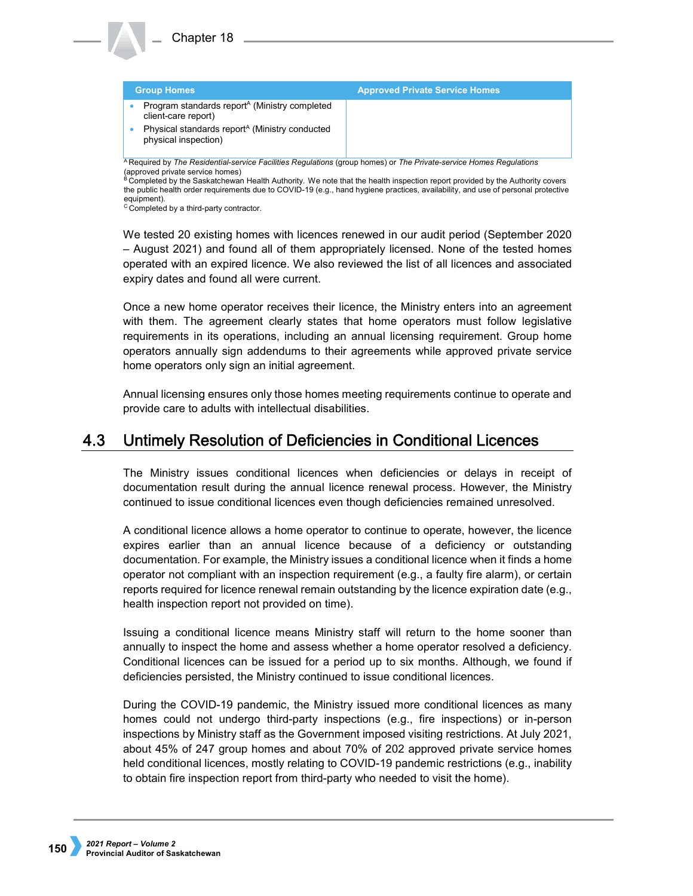| <b>Group Homes</b>                                                                                                                           | <b>Approved Private Service Homes</b> |  |  |  |  |
|----------------------------------------------------------------------------------------------------------------------------------------------|---------------------------------------|--|--|--|--|
| Program standards report <sup>A</sup> (Ministry completed<br>client-care report)                                                             |                                       |  |  |  |  |
| Physical standards report <sup>A</sup> (Ministry conducted<br>physical inspection)                                                           |                                       |  |  |  |  |
| <sup>A</sup> Required by <i>The Residential-service Facilities Requiations</i> (group homes) or <i>The Private-service Homes Requiations</i> |                                       |  |  |  |  |

<sup>A</sup> Required by *The Residential-service Facilities Regulations* (group homes) or *The Private-service Homes Regulations* (approved private service homes) Completed by the Saskatchewan Health Authority. We note that the health inspection report provided by the Authority covers

the public health order requirements due to COVID-19 (e.g., hand hygiene practices, availability, and use of personal protective equipment).<br><sup>C</sup> Completed by a third-party contractor.

We tested 20 existing homes with licences renewed in our audit period (September 2020 – August 2021) and found all of them appropriately licensed. None of the tested homes operated with an expired licence. We also reviewed the list of all licences and associated expiry dates and found all were current.

Once a new home operator receives their licence, the Ministry enters into an agreement with them. The agreement clearly states that home operators must follow legislative requirements in its operations, including an annual licensing requirement. Group home operators annually sign addendums to their agreements while approved private service home operators only sign an initial agreement.

Annual licensing ensures only those homes meeting requirements continue to operate and provide care to adults with intellectual disabilities.

### 4.3 Untimely Resolution of Deficiencies in Conditional Licences

The Ministry issues conditional licences when deficiencies or delays in receipt of documentation result during the annual licence renewal process. However, the Ministry continued to issue conditional licences even though deficiencies remained unresolved.

A conditional licence allows a home operator to continue to operate, however, the licence expires earlier than an annual licence because of a deficiency or outstanding documentation. For example, the Ministry issues a conditional licence when it finds a home operator not compliant with an inspection requirement (e.g., a faulty fire alarm), or certain reports required for licence renewal remain outstanding by the licence expiration date (e.g., health inspection report not provided on time).

Issuing a conditional licence means Ministry staff will return to the home sooner than annually to inspect the home and assess whether a home operator resolved a deficiency. Conditional licences can be issued for a period up to six months. Although, we found if deficiencies persisted, the Ministry continued to issue conditional licences.

During the COVID-19 pandemic, the Ministry issued more conditional licences as many homes could not undergo third-party inspections (e.g., fire inspections) or in-person inspections by Ministry staff as the Government imposed visiting restrictions. At July 2021, about 45% of 247 group homes and about 70% of 202 approved private service homes held conditional licences, mostly relating to COVID-19 pandemic restrictions (e.g., inability to obtain fire inspection report from third-party who needed to visit the home).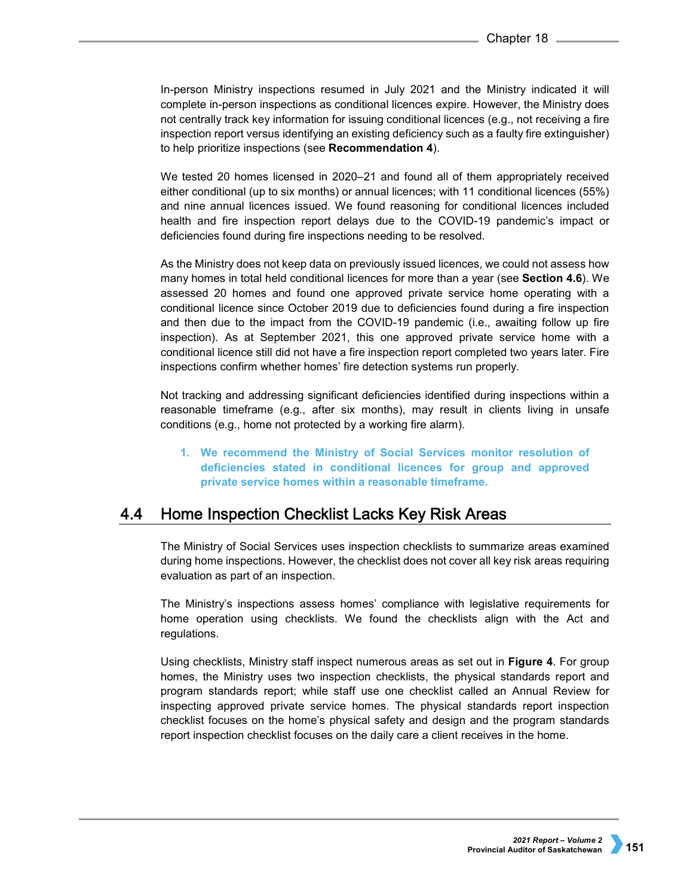In-person Ministry inspections resumed in July 2021 and the Ministry indicated it will complete in-person inspections as conditional licences expire. However, the Ministry does not centrally track key information for issuing conditional licences (e.g., not receiving a fire inspection report versus identifying an existing deficiency such as a faulty fire extinguisher) to help prioritize inspections (see **Recommendation 4**).

We tested 20 homes licensed in 2020–21 and found all of them appropriately received either conditional (up to six months) or annual licences; with 11 conditional licences (55%) and nine annual licences issued. We found reasoning for conditional licences included health and fire inspection report delays due to the COVID-19 pandemic's impact or deficiencies found during fire inspections needing to be resolved.

As the Ministry does not keep data on previously issued licences, we could not assess how many homes in total held conditional licences for more than a year (see **Section 4.6**). We assessed 20 homes and found one approved private service home operating with a conditional licence since October 2019 due to deficiencies found during a fire inspection and then due to the impact from the COVID-19 pandemic (i.e., awaiting follow up fire inspection). As at September 2021, this one approved private service home with a conditional licence still did not have a fire inspection report completed two years later. Fire inspections confirm whether homes' fire detection systems run properly.

Not tracking and addressing significant deficiencies identified during inspections within a reasonable timeframe (e.g., after six months), may result in clients living in unsafe conditions (e.g., home not protected by a working fire alarm).

**1. We recommend the Ministry of Social Services monitor resolution of deficiencies stated in conditional licences for group and approved private service homes within a reasonable timeframe.**

#### 4.4 Home Inspection Checklist Lacks Key Risk Areas

The Ministry of Social Services uses inspection checklists to summarize areas examined during home inspections. However, the checklist does not cover all key risk areas requiring evaluation as part of an inspection.

The Ministry's inspections assess homes' compliance with legislative requirements for home operation using checklists. We found the checklists align with the Act and regulations.

Using checklists, Ministry staff inspect numerous areas as set out in **Figure 4**. For group homes, the Ministry uses two inspection checklists, the physical standards report and program standards report; while staff use one checklist called an Annual Review for inspecting approved private service homes. The physical standards report inspection checklist focuses on the home's physical safety and design and the program standards report inspection checklist focuses on the daily care a client receives in the home.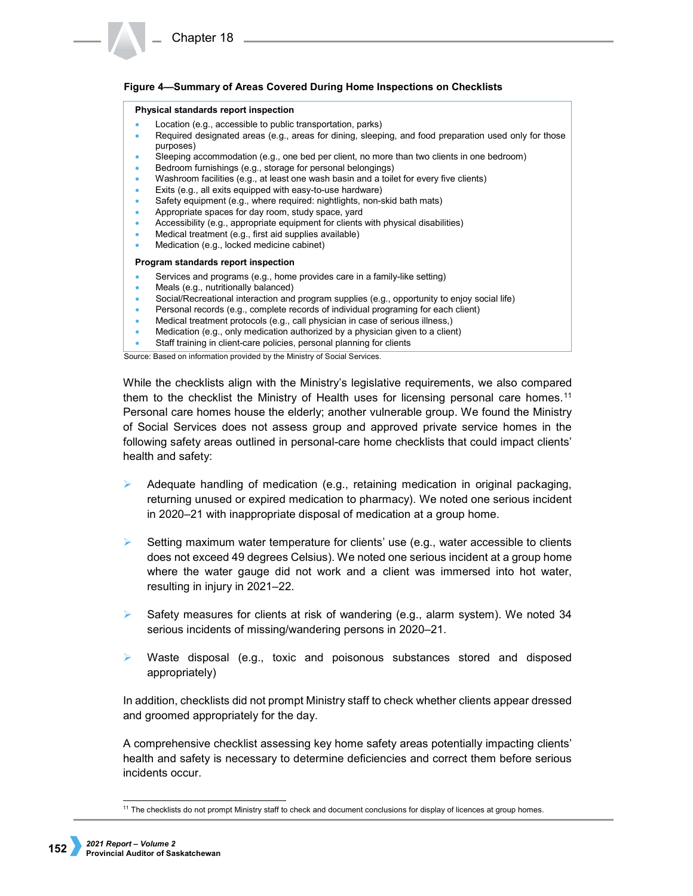# **Figure 4—Summary of Areas Covered During Home Inspections on Checklists**

### **Physical standards report inspection**

- Location (e.g., accessible to public transportation, parks)
- Required designated areas (e.g., areas for dining, sleeping, and food preparation used only for those purposes)
- Sleeping accommodation (e.g., one bed per client, no more than two clients in one bedroom)
- Bedroom furnishings (e.g., storage for personal belongings)
- Washroom facilities (e.g., at least one wash basin and a toilet for every five clients)
- Exits (e.g., all exits equipped with easy-to-use hardware)
- Safety equipment (e.g., where required: nightlights, non-skid bath mats)
- Appropriate spaces for day room, study space, yard
- Accessibility (e.g., appropriate equipment for clients with physical disabilities)
- Medical treatment (e.g., first aid supplies available)
- Medication (e.g., locked medicine cabinet)

### **Program standards report inspection**

- Services and programs (e.g., home provides care in a family-like setting)
- Meals (e.g., nutritionally balanced)
- Social/Recreational interaction and program supplies (e.g., opportunity to enjoy social life)
- Personal records (e.g., complete records of individual programing for each client)
- Medical treatment protocols (e.g., call physician in case of serious illness,)
- Medication (e.g., only medication authorized by a physician given to a client)
- Staff training in client-care policies, personal planning for clients

Source: Based on information provided by the Ministry of Social Services.

While the checklists align with the Ministry's legislative requirements, we also compared them to the checklist the Ministry of Health uses for licensing personal care homes.<sup>[11](#page-9-0)</sup> Personal care homes house the elderly; another vulnerable group. We found the Ministry of Social Services does not assess group and approved private service homes in the following safety areas outlined in personal-care home checklists that could impact clients' health and safety:

- $\triangleright$  Adequate handling of medication (e.g., retaining medication in original packaging, returning unused or expired medication to pharmacy). We noted one serious incident in 2020–21 with inappropriate disposal of medication at a group home.
- $\triangleright$  Setting maximum water temperature for clients' use (e.g., water accessible to clients does not exceed 49 degrees Celsius). We noted one serious incident at a group home where the water gauge did not work and a client was immersed into hot water, resulting in injury in 2021–22.
- $\triangleright$  Safety measures for clients at risk of wandering (e.g., alarm system). We noted 34 serious incidents of missing/wandering persons in 2020–21.
- $\triangleright$  Waste disposal (e.g., toxic and poisonous substances stored and disposed appropriately)

In addition, checklists did not prompt Ministry staff to check whether clients appear dressed and groomed appropriately for the day.

A comprehensive checklist assessing key home safety areas potentially impacting clients' health and safety is necessary to determine deficiencies and correct them before serious incidents occur.

<span id="page-9-0"></span> $11$  The checklists do not prompt Ministry staff to check and document conclusions for display of licences at group homes.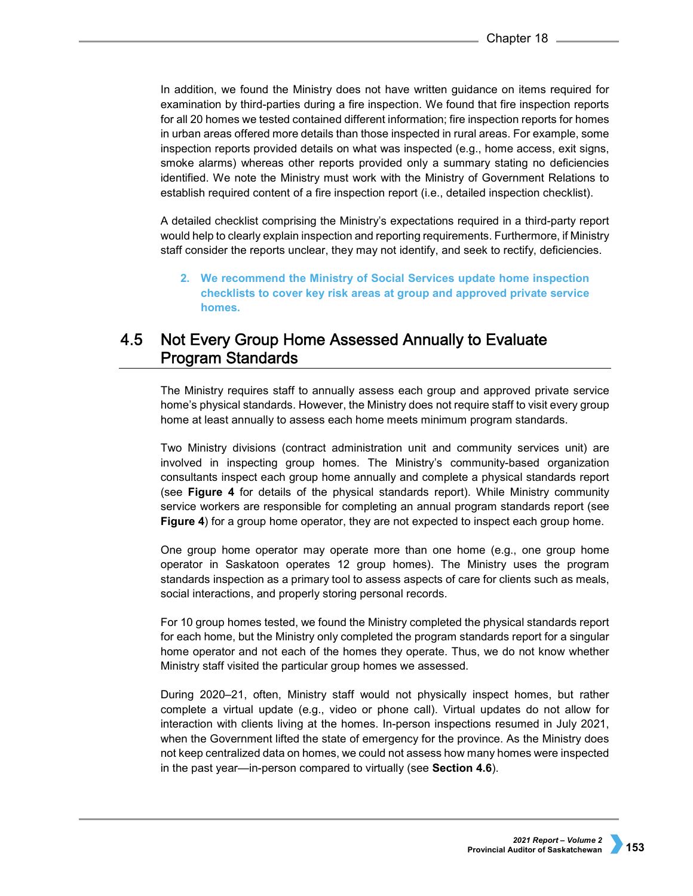In addition, we found the Ministry does not have written guidance on items required for examination by third-parties during a fire inspection. We found that fire inspection reports for all 20 homes we tested contained different information; fire inspection reports for homes in urban areas offered more details than those inspected in rural areas. For example, some inspection reports provided details on what was inspected (e.g., home access, exit signs, smoke alarms) whereas other reports provided only a summary stating no deficiencies identified. We note the Ministry must work with the Ministry of Government Relations to establish required content of a fire inspection report (i.e., detailed inspection checklist).

A detailed checklist comprising the Ministry's expectations required in a third-party report would help to clearly explain inspection and reporting requirements. Furthermore, if Ministry staff consider the reports unclear, they may not identify, and seek to rectify, deficiencies.

**2. We recommend the Ministry of Social Services update home inspection checklists to cover key risk areas at group and approved private service homes.**

## $4.5$ Not Every Group Home Assessed Annually to Evaluate **Program Standards**

The Ministry requires staff to annually assess each group and approved private service home's physical standards. However, the Ministry does not require staff to visit every group home at least annually to assess each home meets minimum program standards.

Two Ministry divisions (contract administration unit and community services unit) are involved in inspecting group homes. The Ministry's community-based organization consultants inspect each group home annually and complete a physical standards report (see **Figure 4** for details of the physical standards report). While Ministry community service workers are responsible for completing an annual program standards report (see **Figure 4**) for a group home operator, they are not expected to inspect each group home.

One group home operator may operate more than one home (e.g., one group home operator in Saskatoon operates 12 group homes). The Ministry uses the program standards inspection as a primary tool to assess aspects of care for clients such as meals, social interactions, and properly storing personal records.

For 10 group homes tested, we found the Ministry completed the physical standards report for each home, but the Ministry only completed the program standards report for a singular home operator and not each of the homes they operate. Thus, we do not know whether Ministry staff visited the particular group homes we assessed.

During 2020–21, often, Ministry staff would not physically inspect homes, but rather complete a virtual update (e.g., video or phone call). Virtual updates do not allow for interaction with clients living at the homes. In-person inspections resumed in July 2021, when the Government lifted the state of emergency for the province. As the Ministry does not keep centralized data on homes, we could not assess how many homes were inspected in the past year—in-person compared to virtually (see **Section 4.6**).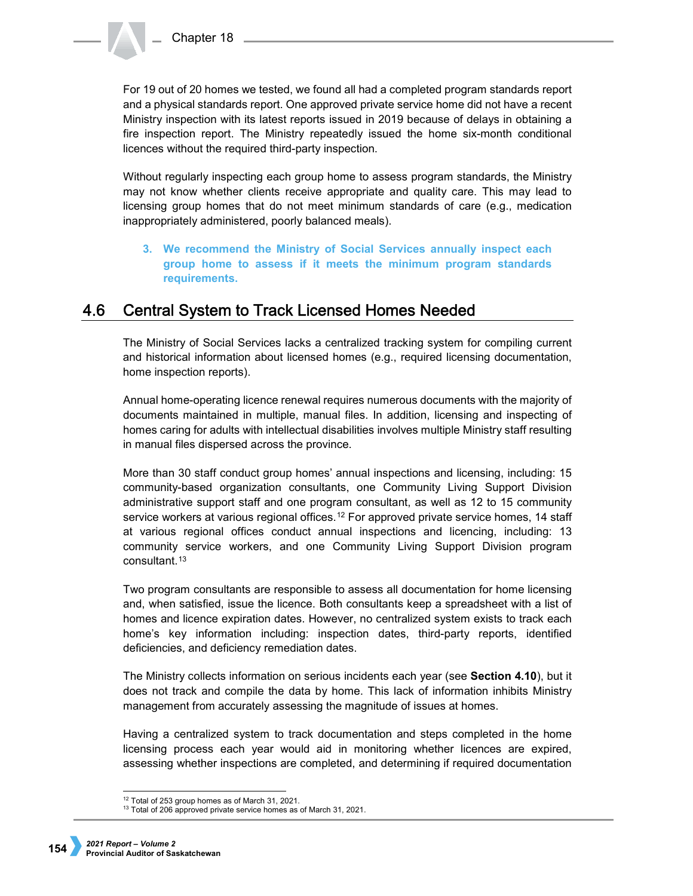For 19 out of 20 homes we tested, we found all had a completed program standards report and a physical standards report. One approved private service home did not have a recent Ministry inspection with its latest reports issued in 2019 because of delays in obtaining a fire inspection report. The Ministry repeatedly issued the home six-month conditional licences without the required third-party inspection.

Without regularly inspecting each group home to assess program standards, the Ministry may not know whether clients receive appropriate and quality care. This may lead to licensing group homes that do not meet minimum standards of care (e.g., medication inappropriately administered, poorly balanced meals).

**3. We recommend the Ministry of Social Services annually inspect each group home to assess if it meets the minimum program standards requirements.**

#### 4.6 **Central System to Track Licensed Homes Needed**

The Ministry of Social Services lacks a centralized tracking system for compiling current and historical information about licensed homes (e.g., required licensing documentation, home inspection reports).

Annual home-operating licence renewal requires numerous documents with the majority of documents maintained in multiple, manual files. In addition, licensing and inspecting of homes caring for adults with intellectual disabilities involves multiple Ministry staff resulting in manual files dispersed across the province.

More than 30 staff conduct group homes' annual inspections and licensing, including: 15 community-based organization consultants, one Community Living Support Division administrative support staff and one program consultant, as well as 12 to 15 community service workers at various regional offices.<sup>[12](#page-11-0)</sup> For approved private service homes, 14 staff at various regional offices conduct annual inspections and licencing, including: 13 community service workers, and one Community Living Support Division program consultant.[13](#page-11-1)

Two program consultants are responsible to assess all documentation for home licensing and, when satisfied, issue the licence. Both consultants keep a spreadsheet with a list of homes and licence expiration dates. However, no centralized system exists to track each home's key information including: inspection dates, third-party reports, identified deficiencies, and deficiency remediation dates.

The Ministry collects information on serious incidents each year (see **Section 4.10**), but it does not track and compile the data by home. This lack of information inhibits Ministry management from accurately assessing the magnitude of issues at homes.

Having a centralized system to track documentation and steps completed in the home licensing process each year would aid in monitoring whether licences are expired, assessing whether inspections are completed, and determining if required documentation

<span id="page-11-0"></span> <sup>12</sup> Total of 253 group homes as of March 31, 2021.

<span id="page-11-1"></span><sup>&</sup>lt;sup>13</sup> Total of 206 approved private service homes as of March 31, 2021.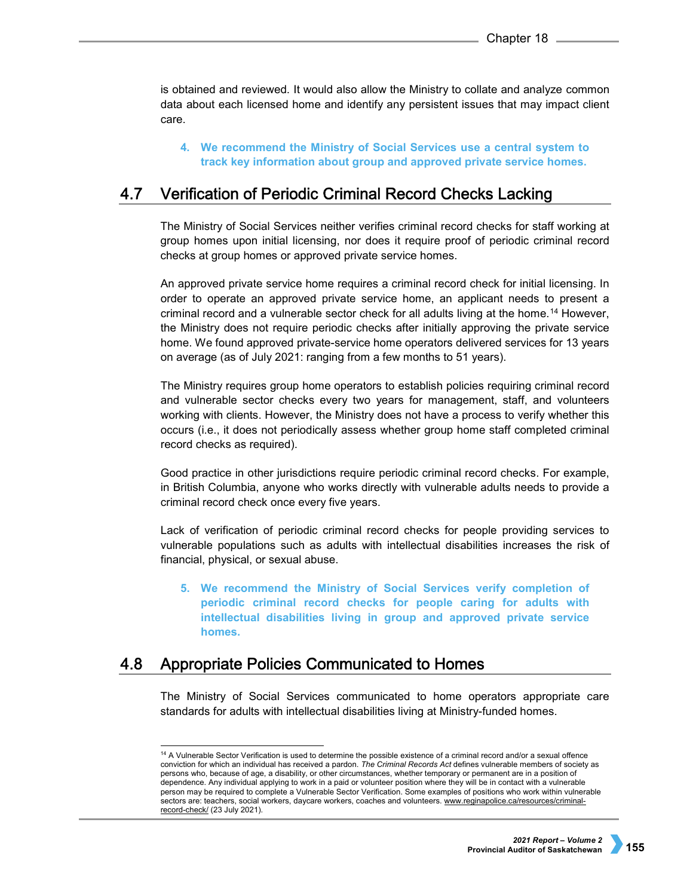is obtained and reviewed. It would also allow the Ministry to collate and analyze common data about each licensed home and identify any persistent issues that may impact client care.

**4. We recommend the Ministry of Social Services use a central system to track key information about group and approved private service homes.**

#### $4.7$ Verification of Periodic Criminal Record Checks Lacking

The Ministry of Social Services neither verifies criminal record checks for staff working at group homes upon initial licensing, nor does it require proof of periodic criminal record checks at group homes or approved private service homes.

An approved private service home requires a criminal record check for initial licensing. In order to operate an approved private service home, an applicant needs to present a criminal record and a vulnerable sector check for all adults living at the home.[14](#page-12-0) However, the Ministry does not require periodic checks after initially approving the private service home. We found approved private-service home operators delivered services for 13 years on average (as of July 2021: ranging from a few months to 51 years).

The Ministry requires group home operators to establish policies requiring criminal record and vulnerable sector checks every two years for management, staff, and volunteers working with clients. However, the Ministry does not have a process to verify whether this occurs (i.e., it does not periodically assess whether group home staff completed criminal record checks as required).

Good practice in other jurisdictions require periodic criminal record checks. For example, in British Columbia, anyone who works directly with vulnerable adults needs to provide a criminal record check once every five years.

Lack of verification of periodic criminal record checks for people providing services to vulnerable populations such as adults with intellectual disabilities increases the risk of financial, physical, or sexual abuse.

**5. We recommend the Ministry of Social Services verify completion of periodic criminal record checks for people caring for adults with intellectual disabilities living in group and approved private service homes.**

#### <span id="page-12-0"></span>4.8 Appropriate Policies Communicated to Homes

The Ministry of Social Services communicated to home operators appropriate care standards for adults with intellectual disabilities living at Ministry-funded homes.

<sup>&</sup>lt;sup>14</sup> A Vulnerable Sector Verification is used to determine the possible existence of a criminal record and/or a sexual offence conviction for which an individual has received a pardon. *The Criminal Records Act* defines vulnerable members of society as persons who, because of age, a disability, or other circumstances, whether temporary or permanent are in a position of dependence. Any individual applying to work in a paid or volunteer position where they will be in contact with a vulnerable person may be required to complete a Vulnerable Sector Verification. Some examples of positions who work within vulnerable sectors are: teachers, social workers, daycare workers, coaches and volunteers[. www.reginapolice.ca/resources/criminal](http://www.reginapolice.ca/resources/criminal-record-check/)[record-check/](http://www.reginapolice.ca/resources/criminal-record-check/) (23 July 2021).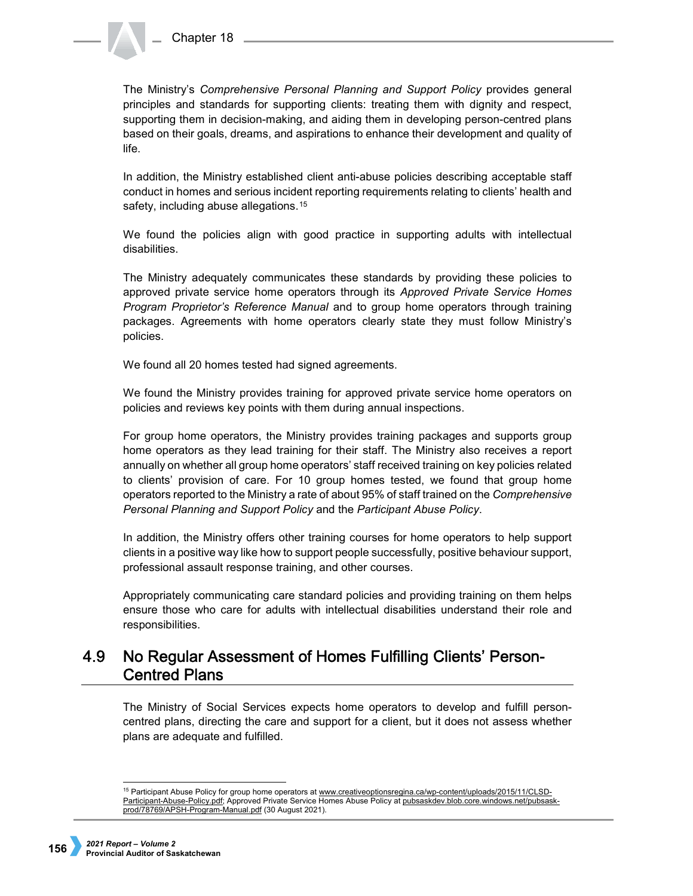The Ministry's *Comprehensive Personal Planning and Support Policy* provides general principles and standards for supporting clients: treating them with dignity and respect, supporting them in decision-making, and aiding them in developing person-centred plans based on their goals, dreams, and aspirations to enhance their development and quality of life.

In addition, the Ministry established client anti-abuse policies describing acceptable staff conduct in homes and serious incident reporting requirements relating to clients' health and safety, including abuse allegations.<sup>[15](#page-13-0)</sup>

We found the policies align with good practice in supporting adults with intellectual disabilities.

The Ministry adequately communicates these standards by providing these policies to approved private service home operators through its *Approved Private Service Homes Program Proprietor's Reference Manual* and to group home operators through training packages. Agreements with home operators clearly state they must follow Ministry's policies.

We found all 20 homes tested had signed agreements.

We found the Ministry provides training for approved private service home operators on policies and reviews key points with them during annual inspections.

For group home operators, the Ministry provides training packages and supports group home operators as they lead training for their staff. The Ministry also receives a report annually on whether all group home operators' staff received training on key policies related to clients' provision of care. For 10 group homes tested, we found that group home operators reported to the Ministry a rate of about 95% of staff trained on the *Comprehensive Personal Planning and Support Policy* and the *Participant Abuse Policy*.

In addition, the Ministry offers other training courses for home operators to help support clients in a positive way like how to support people successfully, positive behaviour support, professional assault response training, and other courses.

Appropriately communicating care standard policies and providing training on them helps ensure those who care for adults with intellectual disabilities understand their role and responsibilities.

## 4.9 No Regular Assessment of Homes Fulfilling Clients' Person-**Centred Plans**

The Ministry of Social Services expects home operators to develop and fulfill personcentred plans, directing the care and support for a client, but it does not assess whether plans are adequate and fulfilled.

<span id="page-13-0"></span><sup>&</sup>lt;sup>15</sup> Participant Abuse Policy for group home operators at [www.creativeoptionsregina.ca/wp-content/uploads/2015/11/CLSD-](http://www.creativeoptionsregina.ca/wp-content/uploads/2015/11/CLSD-Participant-Abuse-Policy.pdf)[Participant-Abuse-Policy.pdf;](http://www.creativeoptionsregina.ca/wp-content/uploads/2015/11/CLSD-Participant-Abuse-Policy.pdf) Approved Private Service Homes Abuse Policy at [pubsaskdev.blob.core.windows.net/pubsask](http://pubsaskdev.blob.core.windows.net/pubsask-prod/78769/APSH-Program-Manual.pdf)[prod/78769/APSH-Program-Manual.pdf](http://pubsaskdev.blob.core.windows.net/pubsask-prod/78769/APSH-Program-Manual.pdf) (30 August 2021).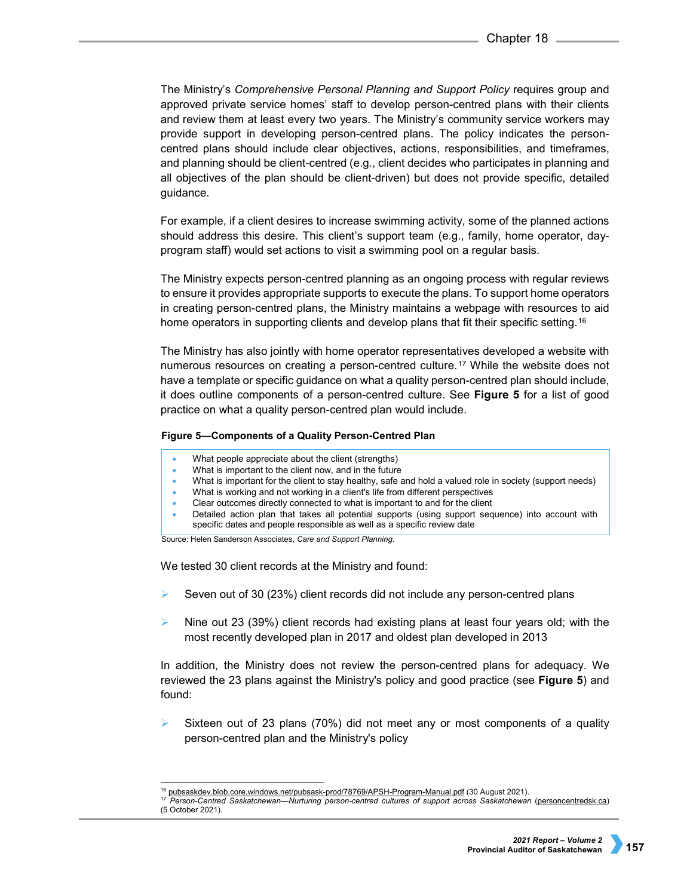The Ministry's *Comprehensive Personal Planning and Support Policy* requires group and approved private service homes' staff to develop person-centred plans with their clients and review them at least every two years. The Ministry's community service workers may provide support in developing person-centred plans. The policy indicates the personcentred plans should include clear objectives, actions, responsibilities, and timeframes, and planning should be client-centred (e.g., client decides who participates in planning and all objectives of the plan should be client-driven) but does not provide specific, detailed guidance.

For example, if a client desires to increase swimming activity, some of the planned actions should address this desire. This client's support team (e.g., family, home operator, dayprogram staff) would set actions to visit a swimming pool on a regular basis.

The Ministry expects person-centred planning as an ongoing process with regular reviews to ensure it provides appropriate supports to execute the plans. To support home operators in creating person-centred plans, the Ministry maintains a webpage with resources to aid home operators in supporting clients and develop plans that fit their specific setting.<sup>[16](#page-14-0)</sup>

The Ministry has also jointly with home operator representatives developed a website with numerous resources on creating a person-centred culture.[17](#page-14-1) While the website does not have a template or specific guidance on what a quality person-centred plan should include, it does outline components of a person-centred culture. See **Figure 5** for a list of good practice on what a quality person-centred plan would include.

## **Figure 5—Components of a Quality Person-Centred Plan**

- What people appreciate about the client (strengths)
- What is important to the client now, and in the future
- What is important for the client to stay healthy, safe and hold a valued role in society (support needs)
- What is working and not working in a client's life from different perspectives
- Clear outcomes directly connected to what is important to and for the client
- Detailed action plan that takes all potential supports (using support sequence) into account with specific dates and people responsible as well as a specific review date

Source: Helen Sanderson Associates, *Care and Support Planning.*

We tested 30 client records at the Ministry and found:

- Seven out of 30 (23%) client records did not include any person-centred plans
- $\triangleright$  Nine out 23 (39%) client records had existing plans at least four years old; with the most recently developed plan in 2017 and oldest plan developed in 2013

In addition, the Ministry does not review the person-centred plans for adequacy. We reviewed the 23 plans against the Ministry's policy and good practice (see **Figure 5**) and found:

 Sixteen out of 23 plans (70%) did not meet any or most components of a quality person-centred plan and the Ministry's policy

<sup>&</sup>lt;sup>16</sup> [pubsaskdev.blob.core.windows.net/pubsask-prod/78769/APSH-Program-Manual.pdf](https://pubsaskdev.blob.core.windows.net/pubsask-prod/78769/APSH-Program-Manual.pdf) (30 August 2021).<br><sup>17</sup> Rerson Centred Saskatchewan, Nurturing person centred sultures of support across Saskatchewar

<span id="page-14-1"></span><span id="page-14-0"></span><sup>17</sup> *[Person-Centred Saskatchewan—Nurturing person-centred cultures of support across Saskatchewan](https://personcentredsk.ca/)* (personcentredsk.ca) (5 October 2021).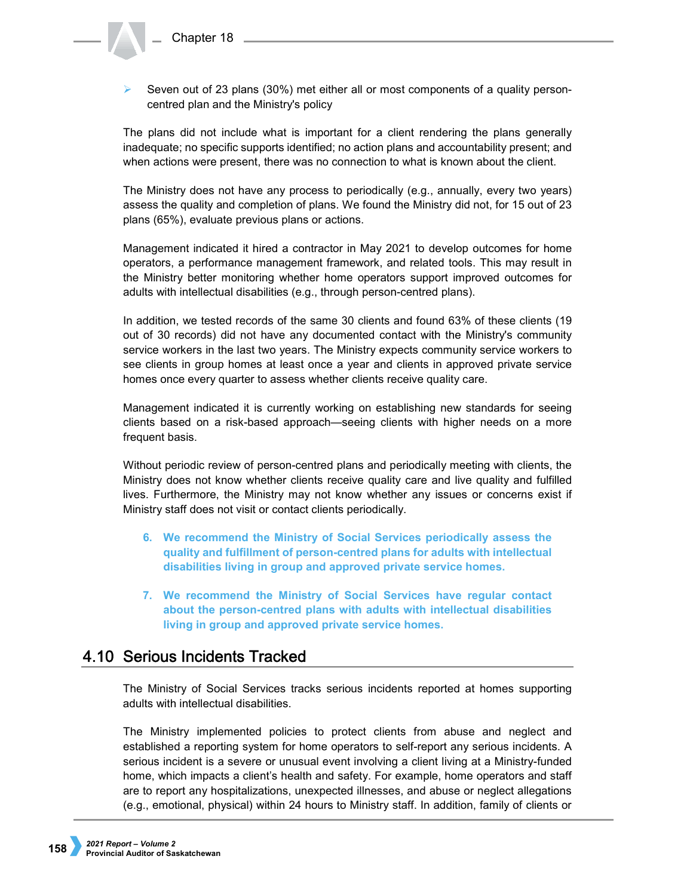Seven out of 23 plans (30%) met either all or most components of a quality personcentred plan and the Ministry's policy

The plans did not include what is important for a client rendering the plans generally inadequate; no specific supports identified; no action plans and accountability present; and when actions were present, there was no connection to what is known about the client.

The Ministry does not have any process to periodically (e.g., annually, every two years) assess the quality and completion of plans. We found the Ministry did not, for 15 out of 23 plans (65%), evaluate previous plans or actions.

Management indicated it hired a contractor in May 2021 to develop outcomes for home operators, a performance management framework, and related tools. This may result in the Ministry better monitoring whether home operators support improved outcomes for adults with intellectual disabilities (e.g., through person-centred plans).

In addition, we tested records of the same 30 clients and found 63% of these clients (19 out of 30 records) did not have any documented contact with the Ministry's community service workers in the last two years. The Ministry expects community service workers to see clients in group homes at least once a year and clients in approved private service homes once every quarter to assess whether clients receive quality care.

Management indicated it is currently working on establishing new standards for seeing clients based on a risk-based approach—seeing clients with higher needs on a more frequent basis.

Without periodic review of person-centred plans and periodically meeting with clients, the Ministry does not know whether clients receive quality care and live quality and fulfilled lives. Furthermore, the Ministry may not know whether any issues or concerns exist if Ministry staff does not visit or contact clients periodically.

- **6. We recommend the Ministry of Social Services periodically assess the quality and fulfillment of person-centred plans for adults with intellectual disabilities living in group and approved private service homes.**
- **7. We recommend the Ministry of Social Services have regular contact about the person-centred plans with adults with intellectual disabilities living in group and approved private service homes.**

# 4.10 Serious Incidents Tracked

The Ministry of Social Services tracks serious incidents reported at homes supporting adults with intellectual disabilities.

The Ministry implemented policies to protect clients from abuse and neglect and established a reporting system for home operators to self-report any serious incidents. A serious incident is a severe or unusual event involving a client living at a Ministry-funded home, which impacts a client's health and safety. For example, home operators and staff are to report any hospitalizations, unexpected illnesses, and abuse or neglect allegations (e.g., emotional, physical) within 24 hours to Ministry staff. In addition, family of clients or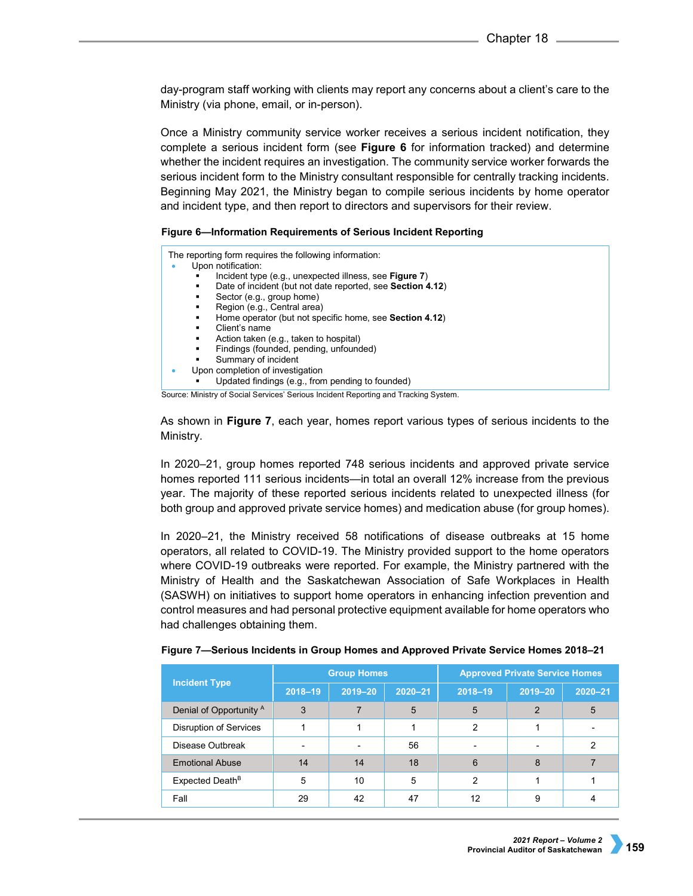day-program staff working with clients may report any concerns about a client's care to the Ministry (via phone, email, or in-person).

Once a Ministry community service worker receives a serious incident notification, they complete a serious incident form (see **Figure 6** for information tracked) and determine whether the incident requires an investigation. The community service worker forwards the serious incident form to the Ministry consultant responsible for centrally tracking incidents. Beginning May 2021, the Ministry began to compile serious incidents by home operator and incident type, and then report to directors and supervisors for their review.

## **Figure 6—Information Requirements of Serious Incident Reporting**

| The reporting form requires the following information:<br>Upon notification:<br>Incident type (e.g., unexpected illness, see Figure 7)<br>Date of incident (but not date reported, see Section 4.12)<br>Sector (e.g., group home)<br>Region (e.g., Central area)<br>Home operator (but not specific home, see Section 4.12)<br>٠<br>Client's name<br>Action taken (e.g., taken to hospital)<br>٠<br>Findings (founded, pending, unfounded)<br>٠<br>Summary of incident<br>٠<br>Upon completion of investigation<br>Updated findings (e.g., from pending to founded) |
|---------------------------------------------------------------------------------------------------------------------------------------------------------------------------------------------------------------------------------------------------------------------------------------------------------------------------------------------------------------------------------------------------------------------------------------------------------------------------------------------------------------------------------------------------------------------|
| Source: Ministry of Social Services' Serious Incident Reporting and Tracking System.                                                                                                                                                                                                                                                                                                                                                                                                                                                                                |
|                                                                                                                                                                                                                                                                                                                                                                                                                                                                                                                                                                     |

As shown in **Figure 7**, each year, homes report various types of serious incidents to the Ministry.

In 2020–21, group homes reported 748 serious incidents and approved private service homes reported 111 serious incidents—in total an overall 12% increase from the previous year. The majority of these reported serious incidents related to unexpected illness (for both group and approved private service homes) and medication abuse (for group homes).

In 2020–21, the Ministry received 58 notifications of disease outbreaks at 15 home operators, all related to COVID-19. The Ministry provided support to the home operators where COVID-19 outbreaks were reported. For example, the Ministry partnered with the Ministry of Health and the Saskatchewan Association of Safe Workplaces in Health (SASWH) on initiatives to support home operators in enhancing infection prevention and control measures and had personal protective equipment available for home operators who had challenges obtaining them.

| <b>Incident Type</b>               | <b>Group Homes</b> |             |             | <b>Approved Private Service Homes</b> |             |             |  |
|------------------------------------|--------------------|-------------|-------------|---------------------------------------|-------------|-------------|--|
|                                    | $2018 - 19$        | $2019 - 20$ | $2020 - 21$ | $2018 - 19$                           | $2019 - 20$ | $2020 - 21$ |  |
| Denial of Opportunity <sup>A</sup> | 3                  |             | 5           | 5                                     | 2           | 5           |  |
| <b>Disruption of Services</b>      |                    |             |             | 2                                     |             |             |  |
| Disease Outbreak                   |                    |             | 56          |                                       |             |             |  |
| <b>Emotional Abuse</b>             | 14                 | 14          | 18          | 6                                     | 8           |             |  |
| Expected Death <sup>B</sup>        | 5                  | 10          | 5           | っ                                     |             |             |  |
| Fall                               | 29                 | 42          | 47          | 12                                    | 9           |             |  |

|  |  | Figure 7-Serious Incidents in Group Homes and Approved Private Service Homes 2018-21 |  |
|--|--|--------------------------------------------------------------------------------------|--|
|--|--|--------------------------------------------------------------------------------------|--|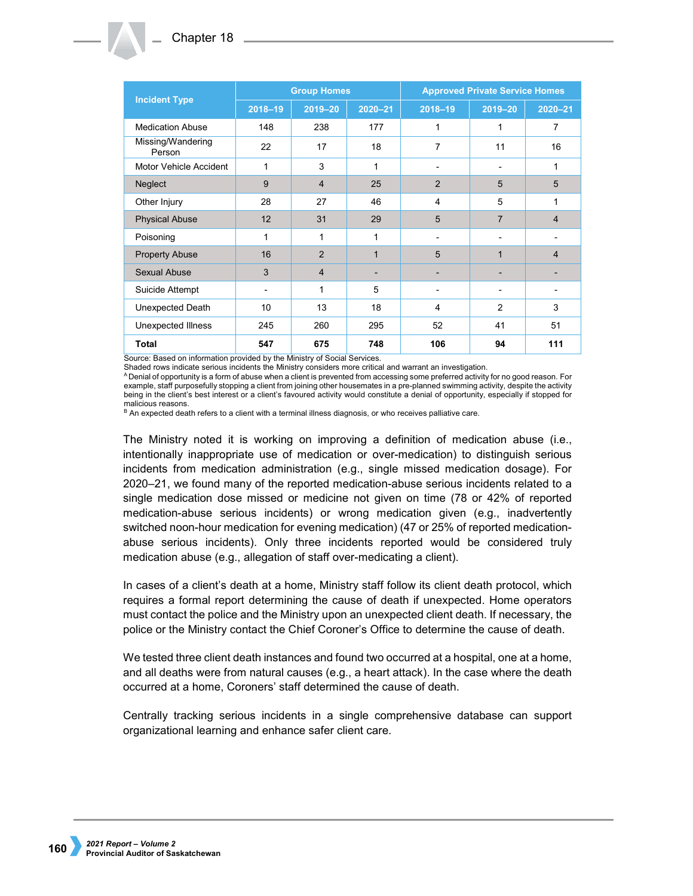|                             | <b>Group Homes</b> |                |              | <b>Approved Private Service Homes</b> |                |                |  |
|-----------------------------|--------------------|----------------|--------------|---------------------------------------|----------------|----------------|--|
| <b>Incident Type</b>        | $2018 - 19$        | $2019 - 20$    | $2020 - 21$  | $2018 - 19$                           | $2019 - 20$    | $2020 - 21$    |  |
| <b>Medication Abuse</b>     | 148                | 238            | 177          | 1                                     | 1              | 7              |  |
| Missing/Wandering<br>Person | 22                 | 17             | 18           | 7                                     | 11             | 16             |  |
| Motor Vehicle Accident      | 1                  | 3              | 1            |                                       | $\blacksquare$ | 1              |  |
| Neglect                     | 9                  | $\overline{4}$ | 25           | 2                                     | 5              | 5              |  |
| Other Injury                | 28                 | 27             | 46           | 4                                     | 5              | 1              |  |
| <b>Physical Abuse</b>       | 12                 | 31             | 29           | 5                                     | $\overline{7}$ | $\overline{4}$ |  |
| Poisoning                   | 1                  | 1              | $\mathbf{1}$ |                                       |                |                |  |
| <b>Property Abuse</b>       | 16                 | $\overline{2}$ | $\mathbf{1}$ | 5                                     | 1              | $\overline{4}$ |  |
| Sexual Abuse                | 3                  | $\overline{4}$ | ٠            |                                       |                |                |  |
| Suicide Attempt             | ۰                  | 1              | 5            | $\overline{\phantom{a}}$              | ۰              |                |  |
| Unexpected Death            | 10 <sup>1</sup>    | 13             | 18           | 4                                     | 2              | 3              |  |
| Unexpected Illness          | 245                | 260            | 295          | 52                                    | 41             | 51             |  |
| <b>Total</b>                | 547                | 675            | 748          | 106                                   | 94             | 111            |  |

Source: Based on information provided by the Ministry of Social Services.<br>Shaded rows indicate serious incidents the Ministry considers more critical and warrant an investigation.

A Denial of opportunity is a form of abuse when a client is prevented from accessing some preferred activity for no good reason. For example, staff purposefully stopping a client from joining other housemates in a pre-planned swimming activity, despite the activity being in the client's best interest or a client's favoured activity would constitute a denial of opportunity, especially if stopped for malicious reasons.

B An expected death refers to a client with a terminal illness diagnosis, or who receives palliative care.

The Ministry noted it is working on improving a definition of medication abuse (i.e., intentionally inappropriate use of medication or over-medication) to distinguish serious incidents from medication administration (e.g., single missed medication dosage). For 2020–21, we found many of the reported medication-abuse serious incidents related to a single medication dose missed or medicine not given on time (78 or 42% of reported medication-abuse serious incidents) or wrong medication given (e.g., inadvertently switched noon-hour medication for evening medication) (47 or 25% of reported medicationabuse serious incidents). Only three incidents reported would be considered truly medication abuse (e.g., allegation of staff over-medicating a client).

In cases of a client's death at a home, Ministry staff follow its client death protocol, which requires a formal report determining the cause of death if unexpected. Home operators must contact the police and the Ministry upon an unexpected client death. If necessary, the police or the Ministry contact the Chief Coroner's Office to determine the cause of death.

We tested three client death instances and found two occurred at a hospital, one at a home, and all deaths were from natural causes (e.g., a heart attack). In the case where the death occurred at a home, Coroners' staff determined the cause of death.

Centrally tracking serious incidents in a single comprehensive database can support organizational learning and enhance safer client care.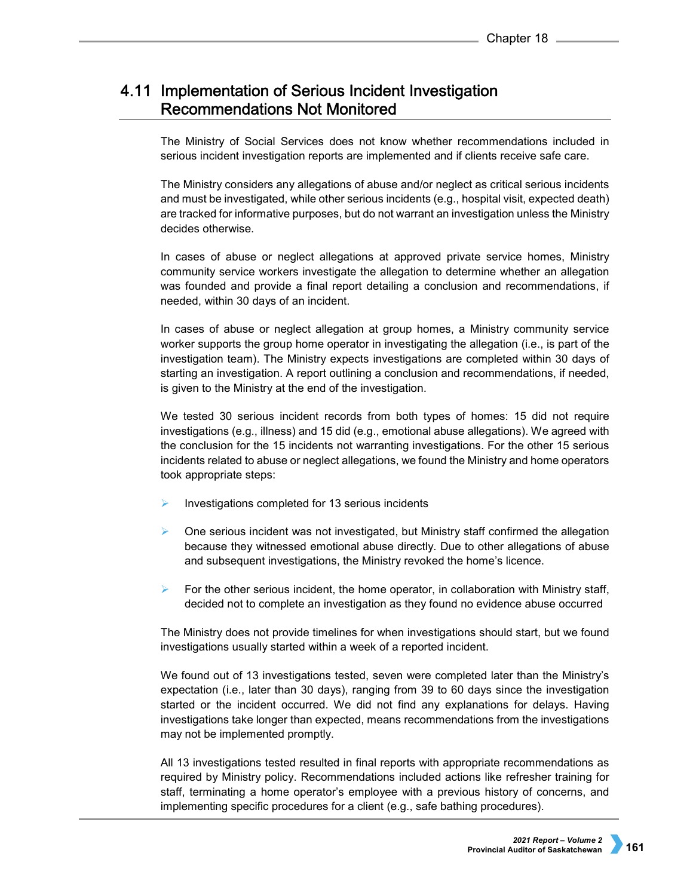# 4.11 Implementation of Serious Incident Investigation **Recommendations Not Monitored**

The Ministry of Social Services does not know whether recommendations included in serious incident investigation reports are implemented and if clients receive safe care.

The Ministry considers any allegations of abuse and/or neglect as critical serious incidents and must be investigated, while other serious incidents (e.g., hospital visit, expected death) are tracked for informative purposes, but do not warrant an investigation unless the Ministry decides otherwise.

In cases of abuse or neglect allegations at approved private service homes, Ministry community service workers investigate the allegation to determine whether an allegation was founded and provide a final report detailing a conclusion and recommendations, if needed, within 30 days of an incident.

In cases of abuse or neglect allegation at group homes, a Ministry community service worker supports the group home operator in investigating the allegation (i.e., is part of the investigation team). The Ministry expects investigations are completed within 30 days of starting an investigation. A report outlining a conclusion and recommendations, if needed, is given to the Ministry at the end of the investigation.

We tested 30 serious incident records from both types of homes: 15 did not require investigations (e.g., illness) and 15 did (e.g., emotional abuse allegations). We agreed with the conclusion for the 15 incidents not warranting investigations. For the other 15 serious incidents related to abuse or neglect allegations, we found the Ministry and home operators took appropriate steps:

- Investigations completed for 13 serious incidents
- $\triangleright$  One serious incident was not investigated, but Ministry staff confirmed the allegation because they witnessed emotional abuse directly. Due to other allegations of abuse and subsequent investigations, the Ministry revoked the home's licence.
- $\triangleright$  For the other serious incident, the home operator, in collaboration with Ministry staff, decided not to complete an investigation as they found no evidence abuse occurred

The Ministry does not provide timelines for when investigations should start, but we found investigations usually started within a week of a reported incident.

We found out of 13 investigations tested, seven were completed later than the Ministry's expectation (i.e., later than 30 days), ranging from 39 to 60 days since the investigation started or the incident occurred. We did not find any explanations for delays. Having investigations take longer than expected, means recommendations from the investigations may not be implemented promptly.

All 13 investigations tested resulted in final reports with appropriate recommendations as required by Ministry policy. Recommendations included actions like refresher training for staff, terminating a home operator's employee with a previous history of concerns, and implementing specific procedures for a client (e.g., safe bathing procedures).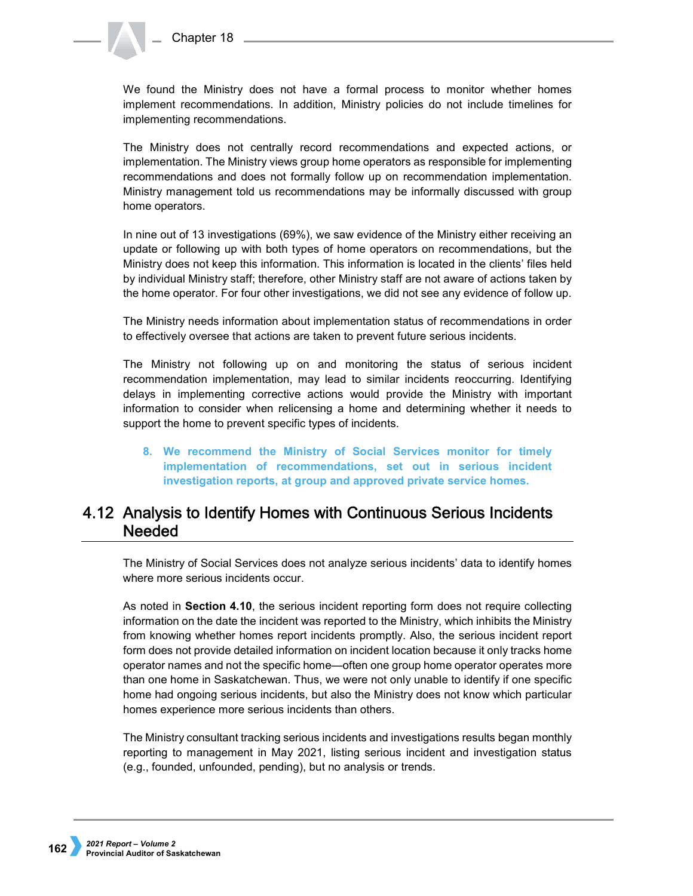We found the Ministry does not have a formal process to monitor whether homes implement recommendations. In addition, Ministry policies do not include timelines for implementing recommendations.

The Ministry does not centrally record recommendations and expected actions, or implementation. The Ministry views group home operators as responsible for implementing recommendations and does not formally follow up on recommendation implementation. Ministry management told us recommendations may be informally discussed with group home operators.

In nine out of 13 investigations (69%), we saw evidence of the Ministry either receiving an update or following up with both types of home operators on recommendations, but the Ministry does not keep this information. This information is located in the clients' files held by individual Ministry staff; therefore, other Ministry staff are not aware of actions taken by the home operator. For four other investigations, we did not see any evidence of follow up.

The Ministry needs information about implementation status of recommendations in order to effectively oversee that actions are taken to prevent future serious incidents.

The Ministry not following up on and monitoring the status of serious incident recommendation implementation, may lead to similar incidents reoccurring. Identifying delays in implementing corrective actions would provide the Ministry with important information to consider when relicensing a home and determining whether it needs to support the home to prevent specific types of incidents.

**8. We recommend the Ministry of Social Services monitor for timely implementation of recommendations, set out in serious incident investigation reports, at group and approved private service homes.**

# 4.12 Analysis to Identify Homes with Continuous Serious Incidents **Needed**

The Ministry of Social Services does not analyze serious incidents' data to identify homes where more serious incidents occur.

As noted in **Section 4.10**, the serious incident reporting form does not require collecting information on the date the incident was reported to the Ministry, which inhibits the Ministry from knowing whether homes report incidents promptly. Also, the serious incident report form does not provide detailed information on incident location because it only tracks home operator names and not the specific home—often one group home operator operates more than one home in Saskatchewan. Thus, we were not only unable to identify if one specific home had ongoing serious incidents, but also the Ministry does not know which particular homes experience more serious incidents than others.

The Ministry consultant tracking serious incidents and investigations results began monthly reporting to management in May 2021, listing serious incident and investigation status (e.g., founded, unfounded, pending), but no analysis or trends.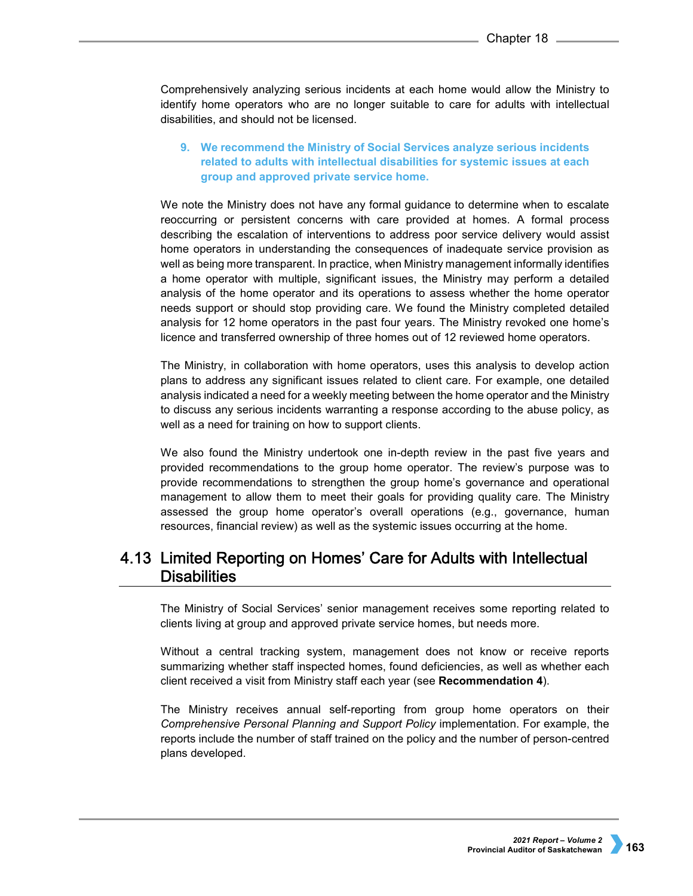Comprehensively analyzing serious incidents at each home would allow the Ministry to identify home operators who are no longer suitable to care for adults with intellectual disabilities, and should not be licensed.

# **9. We recommend the Ministry of Social Services analyze serious incidents related to adults with intellectual disabilities for systemic issues at each group and approved private service home.**

We note the Ministry does not have any formal guidance to determine when to escalate reoccurring or persistent concerns with care provided at homes. A formal process describing the escalation of interventions to address poor service delivery would assist home operators in understanding the consequences of inadequate service provision as well as being more transparent. In practice, when Ministry management informally identifies a home operator with multiple, significant issues, the Ministry may perform a detailed analysis of the home operator and its operations to assess whether the home operator needs support or should stop providing care. We found the Ministry completed detailed analysis for 12 home operators in the past four years. The Ministry revoked one home's licence and transferred ownership of three homes out of 12 reviewed home operators.

The Ministry, in collaboration with home operators, uses this analysis to develop action plans to address any significant issues related to client care. For example, one detailed analysis indicated a need for a weekly meeting between the home operator and the Ministry to discuss any serious incidents warranting a response according to the abuse policy, as well as a need for training on how to support clients.

We also found the Ministry undertook one in-depth review in the past five years and provided recommendations to the group home operator. The review's purpose was to provide recommendations to strengthen the group home's governance and operational management to allow them to meet their goals for providing quality care. The Ministry assessed the group home operator's overall operations (e.g., governance, human resources, financial review) as well as the systemic issues occurring at the home.

# 4.13 Limited Reporting on Homes' Care for Adults with Intellectual **Disabilities**

The Ministry of Social Services' senior management receives some reporting related to clients living at group and approved private service homes, but needs more.

Without a central tracking system, management does not know or receive reports summarizing whether staff inspected homes, found deficiencies, as well as whether each client received a visit from Ministry staff each year (see **Recommendation 4**).

The Ministry receives annual self-reporting from group home operators on their *Comprehensive Personal Planning and Support Policy* implementation. For example, the reports include the number of staff trained on the policy and the number of person-centred plans developed.